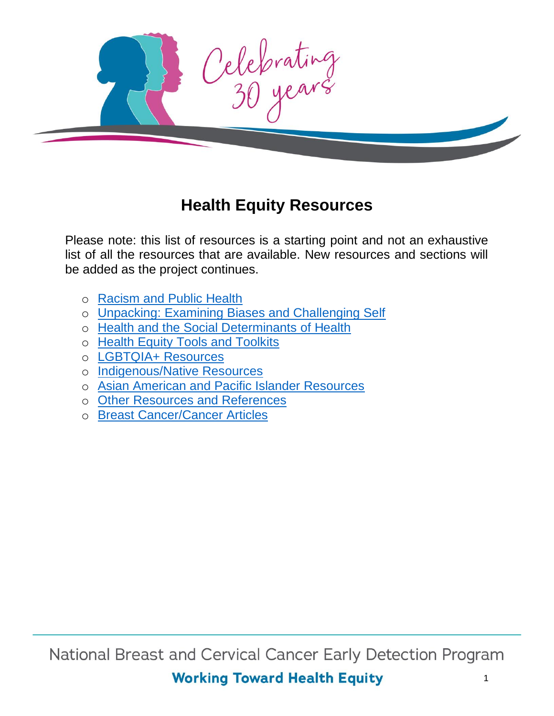

#### **Health Equity Resources**

Please note: this list of resources is a starting point and not an exhaustive list of all the resources that are available. New resources and sections will be added as the project continues.

- o [Racism and Public Health](#page-1-0)
- o [Unpacking: Examining Biases and Challenging Self](#page-2-0)
- o [Health and the Social Determinants of Health](#page-3-0)
- o [Health Equity Tools and Toolkits](#page-4-0)
- o [LGBTQIA+ Resources](#page-6-0)
- o [Indigenous/Native Resources](#page-6-1)
- o [Asian American and Pacific Islander Resources](#page-7-0)
- o [Other Resources and References](#page-7-1)
- o [Breast Cancer/Cancer Articles](#page-8-0)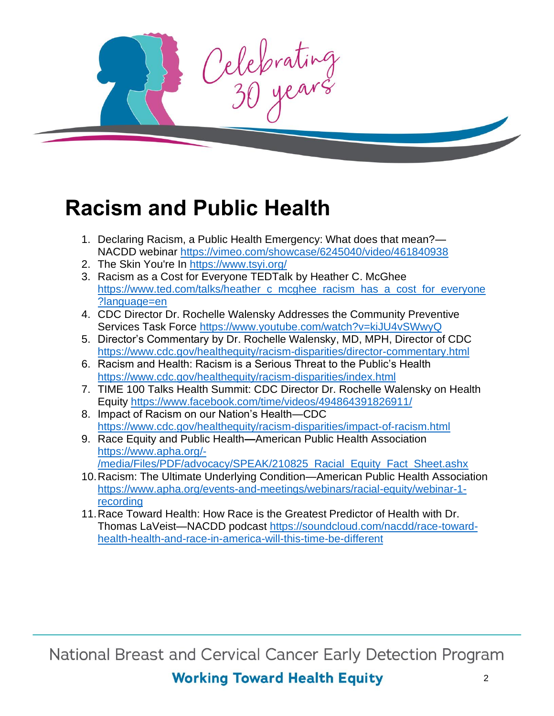Celebrating

# <span id="page-1-0"></span>**Racism and Public Health**

- 1. Declaring Racism, a Public Health Emergency: What does that mean?— NACDD webinar<https://vimeo.com/showcase/6245040/video/461840938>
- 2. The Skin You're In <https://www.tsyi.org/>
- 3. Racism as a Cost for Everyone TEDTalk by Heather C. McGhee [https://www.ted.com/talks/heather\\_c\\_mcghee\\_racism\\_has\\_a\\_cost\\_for\\_everyone](https://www.ted.com/talks/heather_c_mcghee_racism_has_a_cost_for_everyone?language=en) [?language=en](https://www.ted.com/talks/heather_c_mcghee_racism_has_a_cost_for_everyone?language=en)
- 4. CDC Director Dr. Rochelle Walensky Addresses the Community Preventive Services Task Force <https://www.youtube.com/watch?v=kiJU4vSWwyQ>
- 5. Director's Commentary by Dr. Rochelle Walensky, MD, MPH, Director of CDC <https://www.cdc.gov/healthequity/racism-disparities/director-commentary.html>
- 6. Racism and Health: Racism is a Serious Threat to the Public's Health <https://www.cdc.gov/healthequity/racism-disparities/index.html>
- 7. TIME 100 Talks Health Summit: CDC Director Dr. Rochelle Walensky on Health Equity <https://www.facebook.com/time/videos/494864391826911/>
- 8. Impact of Racism on our Nation's Health—CDC <https://www.cdc.gov/healthequity/racism-disparities/impact-of-racism.html>
- 9. Race Equity and Public Health**—**American Public Health Association [https://www.apha.org/-](https://www.apha.org/-/media/Files/PDF/advocacy/SPEAK/210825_Racial_Equity_Fact_Sheet.ashx)
	- [/media/Files/PDF/advocacy/SPEAK/210825\\_Racial\\_Equity\\_Fact\\_Sheet.ashx](https://www.apha.org/-/media/Files/PDF/advocacy/SPEAK/210825_Racial_Equity_Fact_Sheet.ashx)
- 10.Racism: The Ultimate Underlying Condition—American Public Health Association [https://www.apha.org/events-and-meetings/webinars/racial-equity/webinar-1](https://www.apha.org/events-and-meetings/webinars/racial-equity/webinar-1-recording) [recording](https://www.apha.org/events-and-meetings/webinars/racial-equity/webinar-1-recording)
- 11.Race Toward Health: How Race is the Greatest Predictor of Health with Dr. Thomas LaVeist—NACDD podcast [https://soundcloud.com/nacdd/race-toward](https://soundcloud.com/nacdd/race-toward-health-health-and-race-in-america-will-this-time-be-different)[health-health-and-race-in-america-will-this-time-be-different](https://soundcloud.com/nacdd/race-toward-health-health-and-race-in-america-will-this-time-be-different)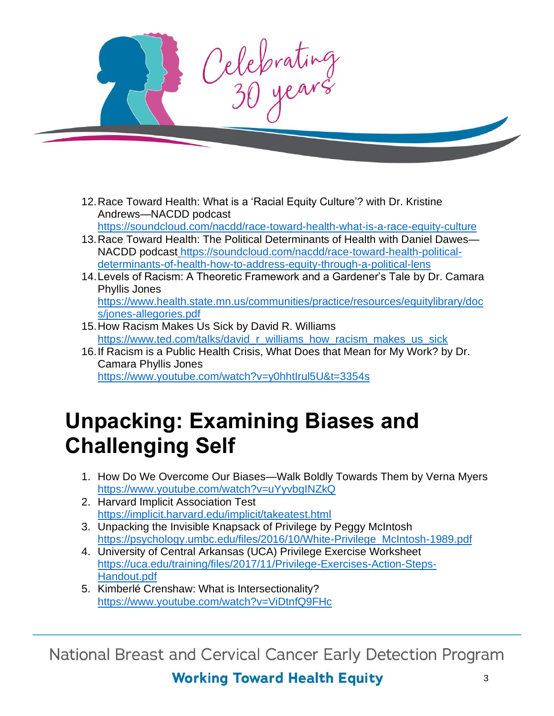

- 12.Race Toward Health: What is a 'Racial Equity Culture'? with Dr. Kristine Andrews—NACDD podcast <https://soundcloud.com/nacdd/race-toward-health-what-is-a-race-equity-culture>
- 13.Race Toward Health: The Political Determinants of Health with Daniel Dawes— NACDD podcast [https://soundcloud.com/nacdd/race-toward-health-political](https://soundcloud.com/nacdd/race-toward-health-political-determinants-of-health-how-to-address-equity-through-a-political-lens)[determinants-of-health-how-to-address-equity-through-a-political-lens](https://soundcloud.com/nacdd/race-toward-health-political-determinants-of-health-how-to-address-equity-through-a-political-lens)
- 14[.Levels of Racism: A Theoretic Framework and a Gardener's Tale](https://www.health.state.mn.us/communities/practice/resources/equitylibrary/docs/jones-allegories.pdf) by Dr. Camara Phyllis Jones [https://www.health.state.mn.us/communities/practice/resources/equitylibrary/doc](https://www.health.state.mn.us/communities/practice/resources/equitylibrary/docs/jones-allegories.pdf) [s/jones-allegories.pdf](https://www.health.state.mn.us/communities/practice/resources/equitylibrary/docs/jones-allegories.pdf)
- 15.How Racism Makes Us Sick by David R. Williams [https://www.ted.com/talks/david\\_r\\_williams\\_how\\_racism\\_makes\\_us\\_sick](https://www.ted.com/talks/david_r_williams_how_racism_makes_us_sick)
- 16.If Racism is a Public Health Crisis, What Does that Mean for My Work? by Dr. Camara Phyllis Jones <https://www.youtube.com/watch?v=y0hhtIrul5U&t=3354s>

# <span id="page-2-0"></span>**Unpacking: Examining Biases and Challenging Self**

- 1. How Do We Overcome Our Biases—Walk Boldly Towards Them by Verna Myers <https://www.youtube.com/watch?v=uYyvbgINZkQ>
- 2. Harvard Implicit Association Test <https://implicit.harvard.edu/implicit/takeatest.html>
- 3. [Unpacking the Invisible Knapsack of Privilege](https://psychology.umbc.edu/files/2016/10/White-Privilege_McIntosh-1989.pdf) by Peggy McIntosh [https://psychology.umbc.edu/files/2016/10/White-Privilege\\_McIntosh-1989.pdf](https://psychology.umbc.edu/files/2016/10/White-Privilege_McIntosh-1989.pdf)
- 4. University of Central Arkansas (UCA) Privilege Exercise Worksheet [https://uca.edu/training/files/2017/11/Privilege-Exercises-Action-Steps-](https://uca.edu/training/files/2017/11/Privilege-Exercises-Action-Steps-Handout.pdf)[Handout.pdf](https://uca.edu/training/files/2017/11/Privilege-Exercises-Action-Steps-Handout.pdf)
- 5. Kimberlé Crenshaw: What is Intersectionality? <https://www.youtube.com/watch?v=ViDtnfQ9FHc>

National Breast and Cervical Cancer Early Detection Program

#### **Working Toward Health Equity**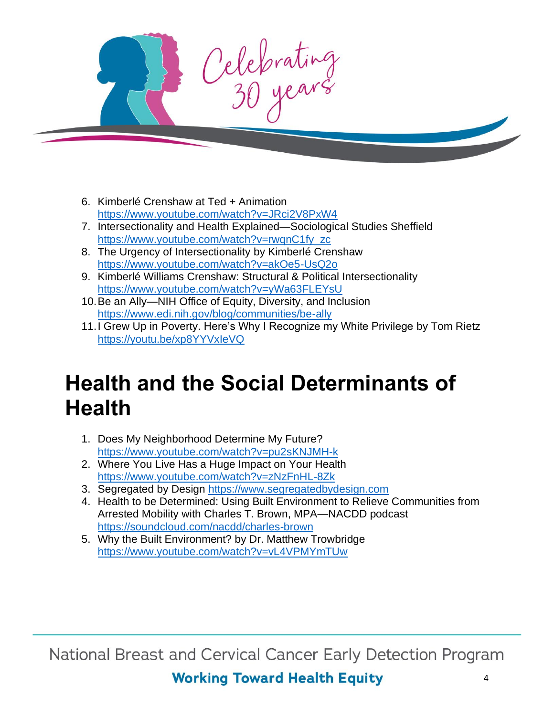

- 6. Kimberlé Crenshaw at Ted + Animation <https://www.youtube.com/watch?v=JRci2V8PxW4>
- 7. Intersectionality and Health Explained—Sociological Studies Sheffield [https://www.youtube.com/watch?v=rwqnC1fy\\_zc](https://www.youtube.com/watch?v=rwqnC1fy_zc)
- 8. The Urgency of Intersectionality by Kimberlé Crenshaw <https://www.youtube.com/watch?v=akOe5-UsQ2o>
- 9. Kimberlé Williams Crenshaw: Structural & Political Intersectionality <https://www.youtube.com/watch?v=yWa63FLEYsU>
- 10.Be an Ally—NIH Office of Equity, Diversity, and Inclusion <https://www.edi.nih.gov/blog/communities/be-ally>
- 11.I Grew Up in Poverty. Here's Why I Recognize my White Privilege by Tom Rietz <https://youtu.be/xp8YYVxIeVQ>

# <span id="page-3-0"></span>**Health and the Social Determinants of Health**

- 1. Does My Neighborhood Determine My Future? <https://www.youtube.com/watch?v=pu2sKNJMH-k>
- 2. Where You Live Has a Huge Impact on Your Health <https://www.youtube.com/watch?v=zNzFnHL-8Zk>
- 3. Segregated by Design [https://www.segregatedbydesign.com](https://www.segregatedbydesign.com/)
- 4. Health to be Determined: Using Built Environment to Relieve Communities from Arrested Mobility with Charles T. Brown, MPA—NACDD podcast <https://soundcloud.com/nacdd/charles-brown>
- 5. Why the Built Environment? by Dr. Matthew Trowbridge <https://www.youtube.com/watch?v=vL4VPMYmTUw>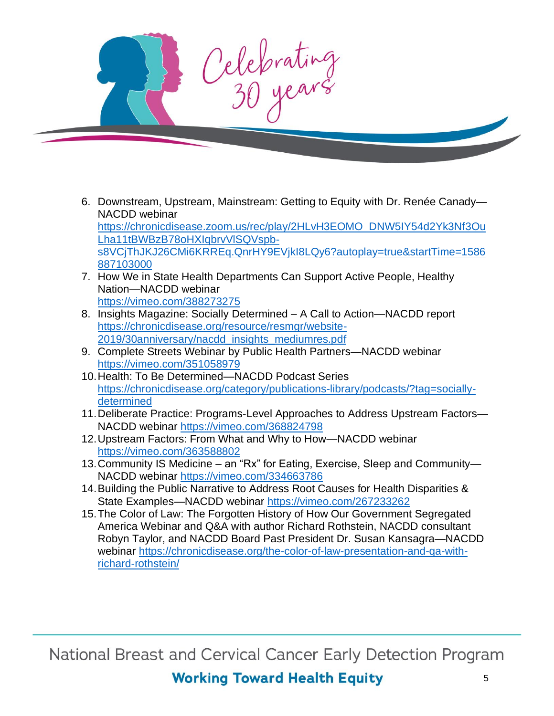

6. Downstream, Upstream, Mainstream: Getting to Equity with Dr. Renée Canady— NACDD webinar

[https://chronicdisease.zoom.us/rec/play/2HLvH3EOMO\\_DNW5IY54d2Yk3Nf3Ou](https://chronicdisease.zoom.us/rec/play/2HLvH3EOMO_DNW5IY54d2Yk3Nf3OuLha11tBWBzB78oHXIqbrvVlSQVspb-s8VCjThJKJ26CMi6KRREq.QnrHY9EVjkI8LQy6?autoplay=true&startTime=1586887103000) [Lha11tBWBzB78oHXIqbrvVlSQVspb](https://chronicdisease.zoom.us/rec/play/2HLvH3EOMO_DNW5IY54d2Yk3Nf3OuLha11tBWBzB78oHXIqbrvVlSQVspb-s8VCjThJKJ26CMi6KRREq.QnrHY9EVjkI8LQy6?autoplay=true&startTime=1586887103000)[s8VCjThJKJ26CMi6KRREq.QnrHY9EVjkI8LQy6?autoplay=true&startTime=1586](https://chronicdisease.zoom.us/rec/play/2HLvH3EOMO_DNW5IY54d2Yk3Nf3OuLha11tBWBzB78oHXIqbrvVlSQVspb-s8VCjThJKJ26CMi6KRREq.QnrHY9EVjkI8LQy6?autoplay=true&startTime=1586887103000) [887103000](https://chronicdisease.zoom.us/rec/play/2HLvH3EOMO_DNW5IY54d2Yk3Nf3OuLha11tBWBzB78oHXIqbrvVlSQVspb-s8VCjThJKJ26CMi6KRREq.QnrHY9EVjkI8LQy6?autoplay=true&startTime=1586887103000)

- 7. How We in State Health Departments Can Support Active People, Healthy Nation—NACDD webinar <https://vimeo.com/388273275>
- 8. [Insights Magazine: Socially](https://chronicdisease.org/resource/resmgr/website-2019/30anniversary/nacdd_insights_mediumres.pdf) Determined A Call to Action—NACDD report [https://chronicdisease.org/resource/resmgr/website-](https://chronicdisease.org/resource/resmgr/website-2019/30anniversary/nacdd_insights_mediumres.pdf)[2019/30anniversary/nacdd\\_insights\\_mediumres.pdf](https://chronicdisease.org/resource/resmgr/website-2019/30anniversary/nacdd_insights_mediumres.pdf)
- 9. Complete Streets Webinar by Public Health Partners—NACDD webinar <https://vimeo.com/351058979>
- 10.Health: To Be Determined—NACDD Podcast Series [https://chronicdisease.org/category/publications-library/podcasts/?tag=socially](https://chronicdisease.org/category/publications-library/podcasts/?tag=socially-determined)[determined](https://chronicdisease.org/category/publications-library/podcasts/?tag=socially-determined)
- 11.Deliberate Practice: Programs-Level Approaches to Address Upstream Factors— NACDD webinar <https://vimeo.com/368824798>
- 12.Upstream Factors: From What and Why to How—NACDD webinar <https://vimeo.com/363588802>
- 13.Community IS Medicine an "Rx" for Eating, Exercise, Sleep and Community— NACDD webinar <https://vimeo.com/334663786>
- 14.Building the Public Narrative to Address Root Causes for Health Disparities & State Examples—NACDD webinar<https://vimeo.com/267233262>
- <span id="page-4-0"></span>15.The Color of Law: The Forgotten History of How Our Government Segregated America Webinar and Q&A with author Richard Rothstein, NACDD consultant Robyn Taylor, and NACDD Board Past President Dr. Susan Kansagra—NACDD webinar [https://chronicdisease.org/the-color-of-law-presentation-and-qa-with](https://chronicdisease.org/the-color-of-law-presentation-and-qa-with-richard-rothstein/)[richard-rothstein/](https://chronicdisease.org/the-color-of-law-presentation-and-qa-with-richard-rothstein/)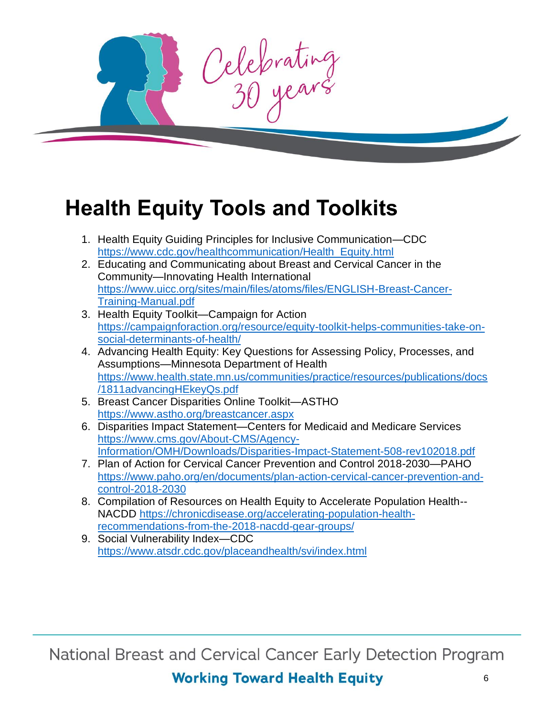

# **Health Equity Tools and Toolkits**

- 1. Health Equity Guiding Principles for Inclusive Communication—CDC [https://www.cdc.gov/healthcommunication/Health\\_Equity.html](https://www.cdc.gov/healthcommunication/Health_Equity.html)
- 2. Educating and Communicating about Breast and Cervical Cancer in the Community—Innovating Health International [https://www.uicc.org/sites/main/files/atoms/files/ENGLISH-Breast-Cancer-](https://www.uicc.org/sites/main/files/atoms/files/ENGLISH-Breast-Cancer-Training-Manual.pdf)[Training-Manual.pdf](https://www.uicc.org/sites/main/files/atoms/files/ENGLISH-Breast-Cancer-Training-Manual.pdf)
- 3. Health Equity Toolkit—Campaign for Action [https://campaignforaction.org/resource/equity-toolkit-helps-communities-take-on](https://campaignforaction.org/resource/equity-toolkit-helps-communities-take-on-social-determinants-of-health/)[social-determinants-of-health/](https://campaignforaction.org/resource/equity-toolkit-helps-communities-take-on-social-determinants-of-health/)
- 4. Advancing Health Equity: Key Questions for Assessing Policy, Processes, and Assumptions—Minnesota Department of Health [https://www.health.state.mn.us/communities/practice/resources/publications/docs](https://www.health.state.mn.us/communities/practice/resources/publications/docs/1811advancingHEkeyQs.pdf) [/1811advancingHEkeyQs.pdf](https://www.health.state.mn.us/communities/practice/resources/publications/docs/1811advancingHEkeyQs.pdf)
- 5. Breast Cancer Disparities Online Toolkit—ASTHO <https://www.astho.org/breastcancer.aspx>
- 6. Disparities Impact Statement—Centers for Medicaid and Medicare Services [https://www.cms.gov/About-CMS/Agency-](https://www.cms.gov/About-CMS/Agency-Information/OMH/Downloads/Disparities-Impact-Statement-508-rev102018.pdf)[Information/OMH/Downloads/Disparities-Impact-Statement-508-rev102018.pdf](https://www.cms.gov/About-CMS/Agency-Information/OMH/Downloads/Disparities-Impact-Statement-508-rev102018.pdf)
- 7. Plan of Action for Cervical Cancer Prevention and Control 2018-2030—PAHO [https://www.paho.org/en/documents/plan-action-cervical-cancer-prevention-and](https://www.paho.org/en/documents/plan-action-cervical-cancer-prevention-and-control-2018-2030)[control-2018-2030](https://www.paho.org/en/documents/plan-action-cervical-cancer-prevention-and-control-2018-2030)
- 8. Compilation of Resources on Health Equity to Accelerate Population Health-- NACDD [https://chronicdisease.org/accelerating-population-health](https://chronicdisease.org/accelerating-population-health-recommendations-from-the-2018-nacdd-gear-groups/)[recommendations-from-the-2018-nacdd-gear-groups/](https://chronicdisease.org/accelerating-population-health-recommendations-from-the-2018-nacdd-gear-groups/)
- 9. Social Vulnerability Index—CDC <https://www.atsdr.cdc.gov/placeandhealth/svi/index.html>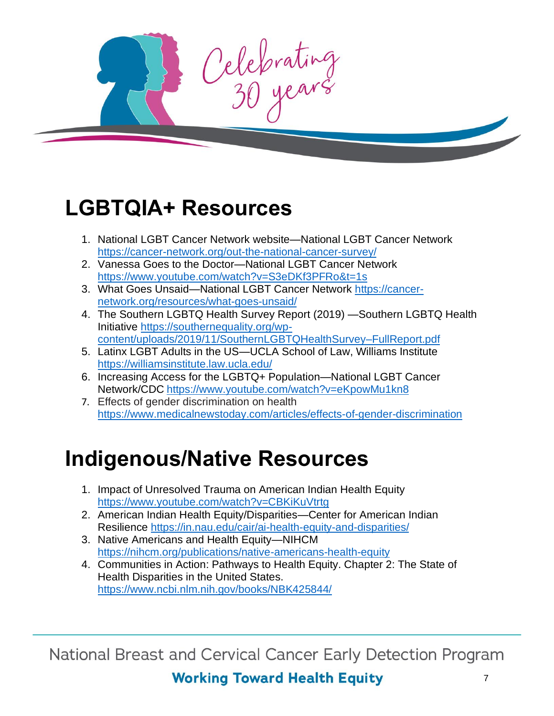Celebrating

# <span id="page-6-0"></span>**LGBTQIA+ Resources**

- 1. National LGBT Cancer Network website—National LGBT Cancer Network <https://cancer-network.org/out-the-national-cancer-survey/>
- 2. Vanessa Goes to the Doctor—National LGBT Cancer Network <https://www.youtube.com/watch?v=S3eDKf3PFRo&t=1s>
- 3. What Goes Unsaid—National LGBT Cancer Network [https://cancer](https://cancer-network.org/resources/what-goes-unsaid/)[network.org/resources/what-goes-unsaid/](https://cancer-network.org/resources/what-goes-unsaid/)
- 4. The Southern LGBTQ Health Survey Report (2019) —Southern LGBTQ Health Initiative [https://southernequality.org/wp](https://southernequality.org/wp-content/uploads/2019/11/SouthernLGBTQHealthSurvey–FullReport.pdf)[content/uploads/2019/11/SouthernLGBTQHealthSurvey–FullReport.pdf](https://southernequality.org/wp-content/uploads/2019/11/SouthernLGBTQHealthSurvey–FullReport.pdf)
- 5. Latinx LGBT Adults in the US—UCLA School of Law, Williams Institute <https://williamsinstitute.law.ucla.edu/>
- 6. Increasing Access for the LGBTQ+ Population—National LGBT Cancer Network/CDC <https://www.youtube.com/watch?v=eKpowMu1kn8>
- 7. Effects of gender discrimination on health <https://www.medicalnewstoday.com/articles/effects-of-gender-discrimination>

# <span id="page-6-1"></span>**Indigenous/Native Resources**

- 1. Impact of Unresolved Trauma on American Indian Health Equity <https://www.youtube.com/watch?v=CBKiKuVtrtg>
- 2. American Indian Health Equity/Disparities—Center for American Indian Resilience <https://in.nau.edu/cair/ai-health-equity-and-disparities/>
- 3. Native Americans and Health Equity—NIHCM <https://nihcm.org/publications/native-americans-health-equity>
- 4. Communities in Action: Pathways to Health Equity. Chapter 2: The State of Health Disparities in the United States. <https://www.ncbi.nlm.nih.gov/books/NBK425844/>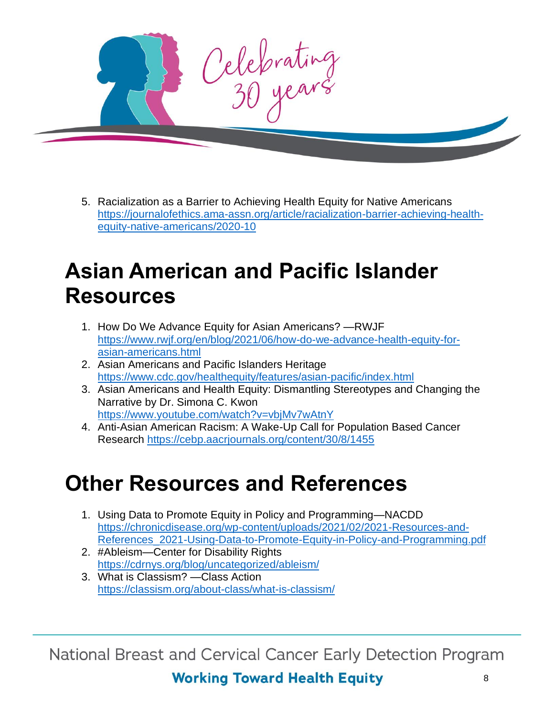

5. Racialization as a Barrier to Achieving Health Equity for Native Americans [https://journalofethics.ama-assn.org/article/racialization-barrier-achieving-health](https://journalofethics.ama-assn.org/article/racialization-barrier-achieving-health-equity-native-americans/2020-10)[equity-native-americans/2020-10](https://journalofethics.ama-assn.org/article/racialization-barrier-achieving-health-equity-native-americans/2020-10)

# <span id="page-7-0"></span>**Asian American and Pacific Islander Resources**

- 1. How Do We Advance Equity for Asian Americans? —RWJF [https://www.rwjf.org/en/blog/2021/06/how-do-we-advance-health-equity-for](https://www.rwjf.org/en/blog/2021/06/how-do-we-advance-health-equity-for-asian-americans.html)[asian-americans.html](https://www.rwjf.org/en/blog/2021/06/how-do-we-advance-health-equity-for-asian-americans.html)
- 2. Asian Americans and Pacific Islanders Heritage <https://www.cdc.gov/healthequity/features/asian-pacific/index.html>
- 3. Asian Americans and Health Equity: Dismantling Stereotypes and Changing the Narrative by Dr. Simona C. Kwon <https://www.youtube.com/watch?v=vbjMv7wAtnY>
- 4. Anti-Asian American Racism: A Wake-Up Call for Population Based Cancer Research <https://cebp.aacrjournals.org/content/30/8/1455>

# <span id="page-7-1"></span>**Other Resources and References**

- 1. Using Data to Promote Equity in Policy and Programming—NACDD [https://chronicdisease.org/wp-content/uploads/2021/02/2021-Resources-and-](https://chronicdisease.org/wp-content/uploads/2021/02/2021-Resources-and-References_2021-Using-Data-to-Promote-Equity-in-Policy-and-Programming.pdf)[References\\_2021-Using-Data-to-Promote-Equity-in-Policy-and-Programming.pdf](https://chronicdisease.org/wp-content/uploads/2021/02/2021-Resources-and-References_2021-Using-Data-to-Promote-Equity-in-Policy-and-Programming.pdf)
- 2. #Ableism—Center for Disability Rights <https://cdrnys.org/blog/uncategorized/ableism/>
- 3. What is Classism? —Class Action <https://classism.org/about-class/what-is-classism/>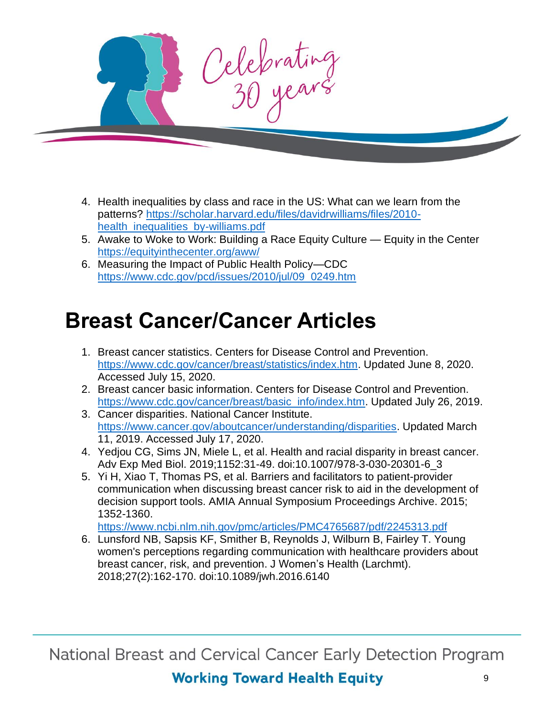

- 4. Health inequalities by class and race in the US: What can we learn from the patterns? [https://scholar.harvard.edu/files/davidrwilliams/files/2010](https://scholar.harvard.edu/files/davidrwilliams/files/2010-health_inequalities_by-williams.pdf) [health\\_inequalities\\_by-williams.pdf](https://scholar.harvard.edu/files/davidrwilliams/files/2010-health_inequalities_by-williams.pdf)
- 5. Awake to Woke to Work: Building a Race Equity Culture Equity in the Center <https://equityinthecenter.org/aww/>
- 6. Measuring the Impact of Public Health Policy—CDC [https://www.cdc.gov/pcd/issues/2010/jul/09\\_0249.htm](https://www.cdc.gov/pcd/issues/2010/jul/09_0249.htm)

#### <span id="page-8-0"></span>**Breast Cancer/Cancer Articles**

- 1. Breast cancer statistics. Centers for Disease Control and Prevention. [https://www.cdc.gov/cancer/breast/statistics/index.htm.](https://www.cdc.gov/cancer/breast/statistics/index.htm) Updated June 8, 2020. Accessed July 15, 2020.
- 2. Breast cancer basic information. Centers for Disease Control and Prevention. [https://www.cdc.gov/cancer/breast/basic\\_info/index.htm.](https://www.cdc.gov/cancer/breast/basic_info/index.htm) Updated July 26, 2019.
- 3. Cancer disparities. National Cancer Institute. [https://www.cancer.gov/aboutcancer/understanding/disparities.](https://www.cancer.gov/aboutcancer/understanding/disparities) Updated March 11, 2019. Accessed July 17, 2020.
- 4. Yedjou CG, Sims JN, Miele L, et al. Health and racial disparity in breast cancer. Adv Exp Med Biol. 2019;1152:31-49. doi:10.1007/978-3-030-20301-6\_3
- 5. Yi H, Xiao T, Thomas PS, et al. Barriers and facilitators to patient-provider communication when discussing breast cancer risk to aid in the development of decision support tools. AMIA Annual Symposium Proceedings Archive. 2015; 1352-1360.

<https://www.ncbi.nlm.nih.gov/pmc/articles/PMC4765687/pdf/2245313.pdf>

6. Lunsford NB, Sapsis KF, Smither B, Reynolds J, Wilburn B, Fairley T. Young women's perceptions regarding communication with healthcare providers about breast cancer, risk, and prevention. J Women's Health (Larchmt). 2018;27(2):162-170. doi:10.1089/jwh.2016.6140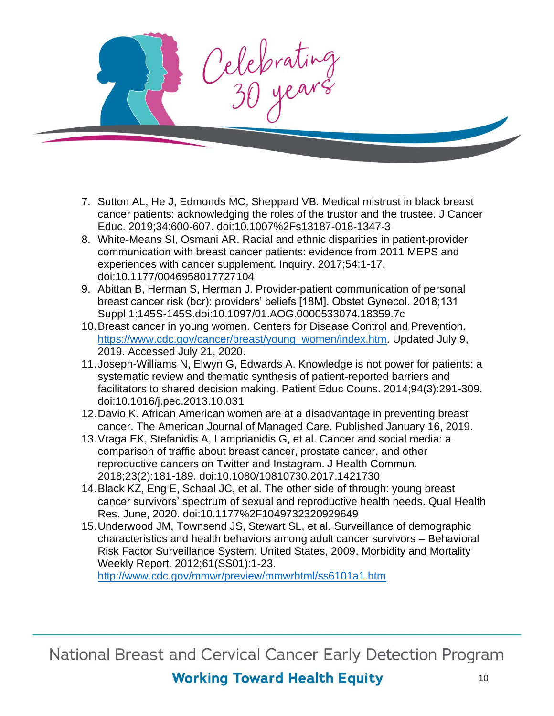Celebrating

- 7. Sutton AL, He J, Edmonds MC, Sheppard VB. Medical mistrust in black breast cancer patients: acknowledging the roles of the trustor and the trustee. J Cancer Educ. 2019;34:600-607. doi:10.1007%2Fs13187-018-1347-3
- 8. White-Means SI, Osmani AR. Racial and ethnic disparities in patient-provider communication with breast cancer patients: evidence from 2011 MEPS and experiences with cancer supplement. Inquiry. 2017;54:1-17. doi:10.1177/0046958017727104
- 9. Abittan B, Herman S, Herman J. Provider-patient communication of personal breast cancer risk (bcr): providers' beliefs [18M]. Obstet Gynecol. 2018;131 Suppl 1:145S-145S.doi:10.1097/01.AOG.0000533074.18359.7c
- 10.Breast cancer in young women. Centers for Disease Control and Prevention. [https://www.cdc.gov/cancer/breast/young\\_women/index.htm.](https://www.cdc.gov/cancer/breast/young_women/index.htm) Updated July 9, 2019. Accessed July 21, 2020.
- 11.Joseph-Williams N, Elwyn G, Edwards A. Knowledge is not power for patients: a systematic review and thematic synthesis of patient-reported barriers and facilitators to shared decision making. Patient Educ Couns. 2014;94(3):291-309. doi:10.1016/j.pec.2013.10.031
- 12.Davio K. African American women are at a disadvantage in preventing breast cancer. The American Journal of Managed Care. Published January 16, 2019.
- 13.Vraga EK, Stefanidis A, Lamprianidis G, et al. Cancer and social media: a comparison of traffic about breast cancer, prostate cancer, and other reproductive cancers on Twitter and Instagram. J Health Commun. 2018;23(2):181-189. doi:10.1080/10810730.2017.1421730
- 14.Black KZ, Eng E, Schaal JC, et al. The other side of through: young breast cancer survivors' spectrum of sexual and reproductive health needs. Qual Health Res. June, 2020. doi:10.1177%2F1049732320929649
- 15.Underwood JM, Townsend JS, Stewart SL, et al. Surveillance of demographic characteristics and health behaviors among adult cancer survivors – Behavioral Risk Factor Surveillance System, United States, 2009. Morbidity and Mortality Weekly Report. 2012;61(SS01):1-23.

<http://www.cdc.gov/mmwr/preview/mmwrhtml/ss6101a1.htm>